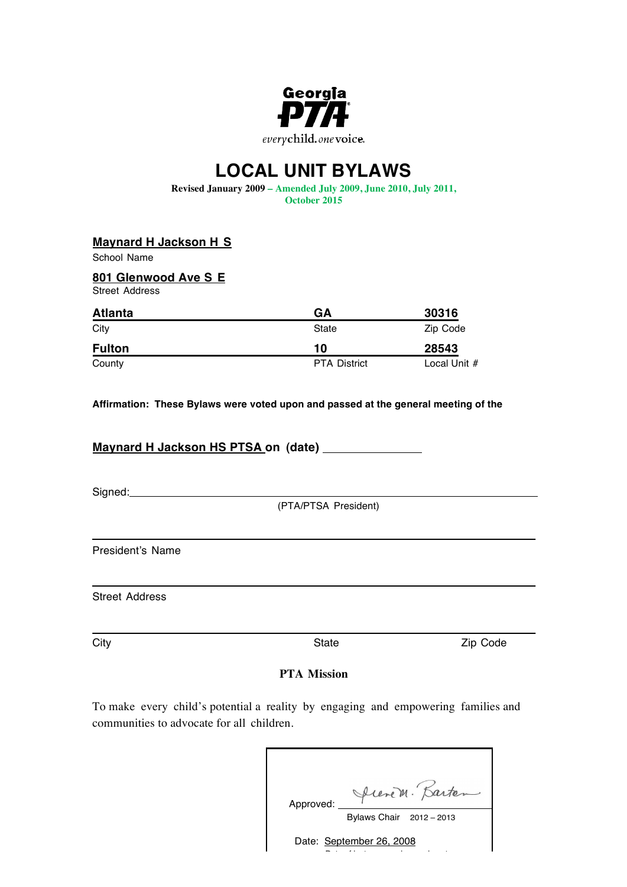

## **LOCAL UNIT BYLAWS**

**Revised January 2009 – Amended July 2009, June 2010, July 2011, October 2015**

#### **Maynard H Jackson H S**

School Name

#### **801 Glenwood Ave S E**

Street Address

| <b>Atlanta</b> | GA                  | 30316        |
|----------------|---------------------|--------------|
| City           | State               | Zip Code     |
| <b>Fulton</b>  | 10                  | 28543        |
| County         | <b>PTA District</b> | Local Unit # |

#### **Affirmation: These Bylaws were voted upon and passed at the general meeting of the**

**Maynard H Jackson HS PTSA on (date)**

Signed:

(PTA/PTSA President)

President's Name

Street Address

City **State Zip Code** 

#### **PTA Mission**

To make every child's potential a reality by engaging and empowering families and communities to advocate for all children.

| Approved: | Junem. Barten            |
|-----------|--------------------------|
|           | Bylaws Chair 2012 - 2013 |
|           | Date: September 26, 2008 |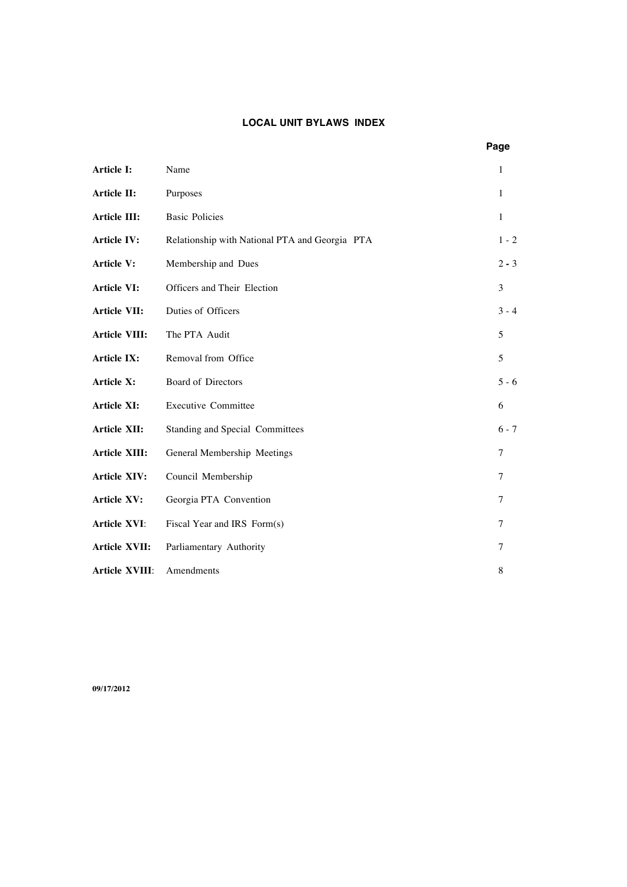#### **LOCAL UNIT BYLAWS INDEX**

| Article I:            | Name                                           | $\mathbf{1}$ |
|-----------------------|------------------------------------------------|--------------|
| <b>Article II:</b>    | Purposes                                       | 1            |
| Article III:          | <b>Basic Policies</b>                          | $\mathbf{1}$ |
| <b>Article IV:</b>    | Relationship with National PTA and Georgia PTA | $1 - 2$      |
| <b>Article V:</b>     | Membership and Dues                            | $2 - 3$      |
| Article VI:           | Officers and Their Election                    | 3            |
| Article VII:          | Duties of Officers                             | $3 - 4$      |
| <b>Article VIII:</b>  | The PTA Audit                                  | 5            |
| Article IX:           | Removal from Office                            | 5            |
| Article X:            | Board of Directors                             | $5 - 6$      |
| Article XI:           | <b>Executive Committee</b>                     | 6            |
| Article XII:          | Standing and Special Committees                | $6 - 7$      |
| Article XIII:         | General Membership Meetings                    | $\tau$       |
| Article XIV:          | Council Membership                             | 7            |
| <b>Article XV:</b>    | Georgia PTA Convention                         | 7            |
| <b>Article XVI:</b>   | Fiscal Year and IRS Form(s)                    | 7            |
| Article XVII:         | Parliamentary Authority                        | 7            |
| <b>Article XVIII:</b> | Amendments                                     | 8            |

**09/17/2012**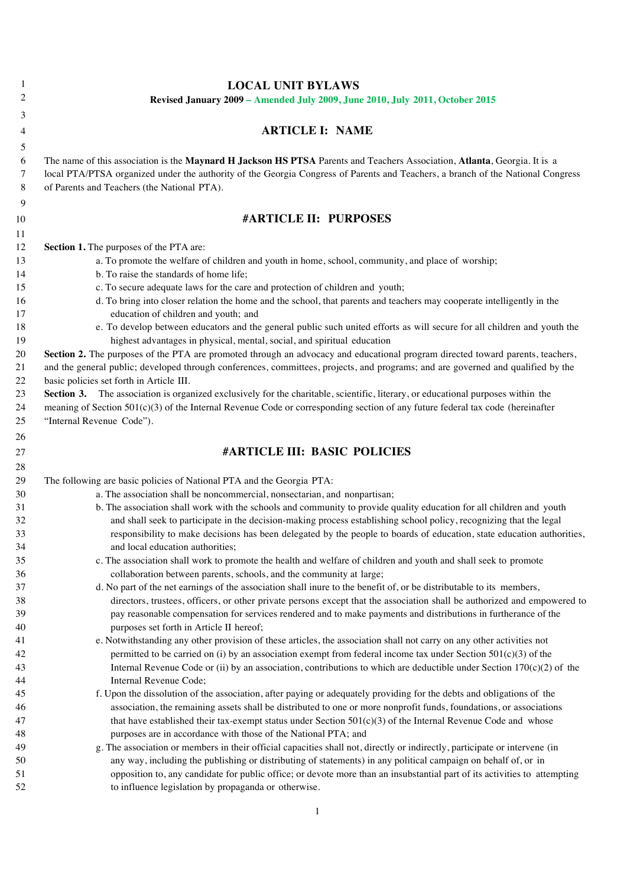| 1        | <b>LOCAL UNIT BYLAWS</b>                                                                                                                                                                                                                                     |
|----------|--------------------------------------------------------------------------------------------------------------------------------------------------------------------------------------------------------------------------------------------------------------|
| 2        | Revised January 2009 - Amended July 2009, June 2010, July 2011, October 2015                                                                                                                                                                                 |
| 3        |                                                                                                                                                                                                                                                              |
| 4        | <b>ARTICLE I: NAME</b>                                                                                                                                                                                                                                       |
|          |                                                                                                                                                                                                                                                              |
| 5<br>6   |                                                                                                                                                                                                                                                              |
| 7        | The name of this association is the Maynard H Jackson HS PTSA Parents and Teachers Association, Atlanta, Georgia. It is a<br>local PTA/PTSA organized under the authority of the Georgia Congress of Parents and Teachers, a branch of the National Congress |
| 8        | of Parents and Teachers (the National PTA).                                                                                                                                                                                                                  |
|          |                                                                                                                                                                                                                                                              |
| 9        |                                                                                                                                                                                                                                                              |
| 10       | #ARTICLE II: PURPOSES                                                                                                                                                                                                                                        |
| 11       |                                                                                                                                                                                                                                                              |
| 12       | Section 1. The purposes of the PTA are:                                                                                                                                                                                                                      |
| 13       | a. To promote the welfare of children and youth in home, school, community, and place of worship;                                                                                                                                                            |
| 14       | b. To raise the standards of home life;                                                                                                                                                                                                                      |
| 15       | c. To secure adequate laws for the care and protection of children and youth;                                                                                                                                                                                |
| 16       | d. To bring into closer relation the home and the school, that parents and teachers may cooperate intelligently in the                                                                                                                                       |
| 17       | education of children and youth; and                                                                                                                                                                                                                         |
| 18       | e. To develop between educators and the general public such united efforts as will secure for all children and youth the                                                                                                                                     |
| 19       | highest advantages in physical, mental, social, and spiritual education                                                                                                                                                                                      |
| 20       | Section 2. The purposes of the PTA are promoted through an advocacy and educational program directed toward parents, teachers,                                                                                                                               |
| 21       | and the general public; developed through conferences, committees, projects, and programs; and are governed and qualified by the                                                                                                                             |
| 22       | basic policies set forth in Article III.                                                                                                                                                                                                                     |
| 23       | Section 3. The association is organized exclusively for the charitable, scientific, literary, or educational purposes within the                                                                                                                             |
| 24       | meaning of Section $501(c)(3)$ of the Internal Revenue Code or corresponding section of any future federal tax code (hereinafter                                                                                                                             |
| 25       | "Internal Revenue Code").                                                                                                                                                                                                                                    |
| 26       |                                                                                                                                                                                                                                                              |
| 27       | #ARTICLE III: BASIC POLICIES                                                                                                                                                                                                                                 |
| 28       |                                                                                                                                                                                                                                                              |
| 29       | The following are basic policies of National PTA and the Georgia PTA:                                                                                                                                                                                        |
| 30       | a. The association shall be noncommercial, nonsectarian, and nonpartisan;                                                                                                                                                                                    |
| 31       | b. The association shall work with the schools and community to provide quality education for all children and youth                                                                                                                                         |
| 32       | and shall seek to participate in the decision-making process establishing school policy, recognizing that the legal                                                                                                                                          |
| 33       | responsibility to make decisions has been delegated by the people to boards of education, state education authorities,                                                                                                                                       |
| 34       | and local education authorities:                                                                                                                                                                                                                             |
| 35       | c. The association shall work to promote the health and welfare of children and youth and shall seek to promote                                                                                                                                              |
| 36       | collaboration between parents, schools, and the community at large;                                                                                                                                                                                          |
| 37       | d. No part of the net earnings of the association shall inure to the benefit of, or be distributable to its members,                                                                                                                                         |
| 38<br>39 | directors, trustees, officers, or other private persons except that the association shall be authorized and empowered to<br>pay reasonable compensation for services rendered and to make payments and distributions in furtherance of the                   |
|          | purposes set forth in Article II hereof;                                                                                                                                                                                                                     |
| 40<br>41 | e. Notwithstanding any other provision of these articles, the association shall not carry on any other activities not                                                                                                                                        |
| 42       | permitted to be carried on (i) by an association exempt from federal income tax under Section $501(c)(3)$ of the                                                                                                                                             |
| 43       | Internal Revenue Code or (ii) by an association, contributions to which are deductible under Section 170(c)(2) of the                                                                                                                                        |
| 44       | Internal Revenue Code;                                                                                                                                                                                                                                       |
| 45       | f. Upon the dissolution of the association, after paying or adequately providing for the debts and obligations of the                                                                                                                                        |
| 46       | association, the remaining assets shall be distributed to one or more nonprofit funds, foundations, or associations                                                                                                                                          |
| 47       | that have established their tax-exempt status under Section $501(c)(3)$ of the Internal Revenue Code and whose                                                                                                                                               |
| 48       | purposes are in accordance with those of the National PTA; and                                                                                                                                                                                               |
| 49       | g. The association or members in their official capacities shall not, directly or indirectly, participate or intervene (in                                                                                                                                   |
| 50       | any way, including the publishing or distributing of statements) in any political campaign on behalf of, or in                                                                                                                                               |
| 51       | opposition to, any candidate for public office; or devote more than an insubstantial part of its activities to attempting                                                                                                                                    |
| 52       | to influence legislation by propaganda or otherwise.                                                                                                                                                                                                         |
|          |                                                                                                                                                                                                                                                              |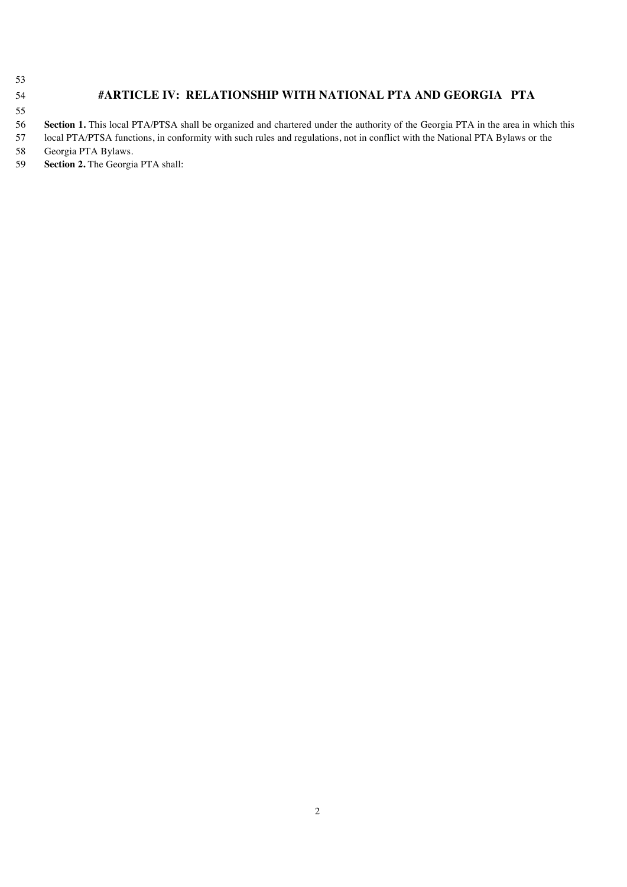#### **#ARTICLE IV: RELATIONSHIP WITH NATIONAL PTA AND GEORGIA PTA**

- **Section 1.** This local PTA/PTSA shall be organized and chartered under the authority of the Georgia PTA in the area in which this
- local PTA/PTSA functions, in conformity with such rules and regulations, not in conflict with the National PTA Bylaws or the
- Georgia PTA Bylaws.
- **Section 2.** The Georgia PTA shall: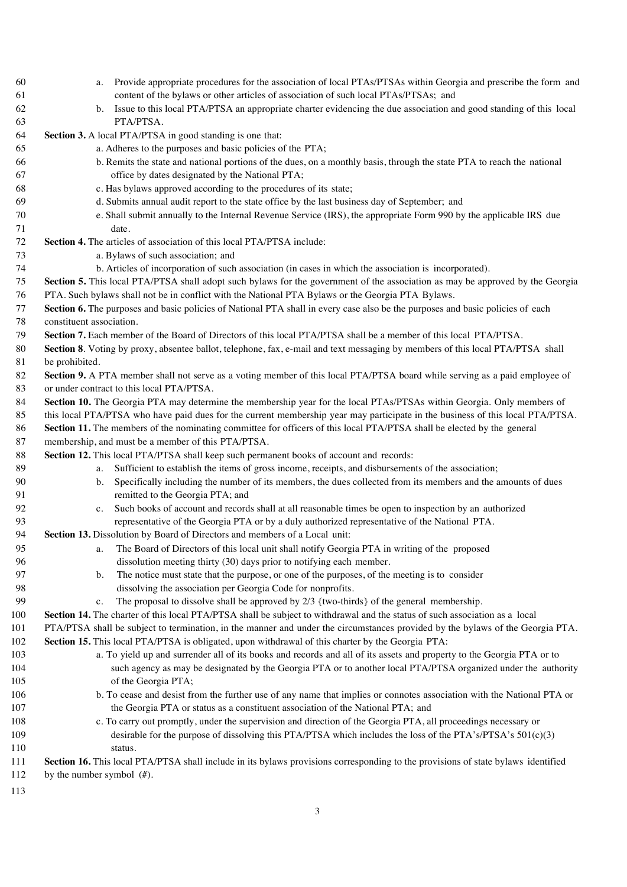| 60         | Provide appropriate procedures for the association of local PTAs/PTSAs within Georgia and prescribe the form and<br>a.                                                                                   |
|------------|----------------------------------------------------------------------------------------------------------------------------------------------------------------------------------------------------------|
| 61         | content of the bylaws or other articles of association of such local PTAs/PTSAs; and                                                                                                                     |
| 62         | Issue to this local PTA/PTSA an appropriate charter evidencing the due association and good standing of this local<br>b.                                                                                 |
| 63         | PTA/PTSA.                                                                                                                                                                                                |
| 64         | Section 3. A local PTA/PTSA in good standing is one that:                                                                                                                                                |
| 65         | a. Adheres to the purposes and basic policies of the PTA;                                                                                                                                                |
| 66         | b. Remits the state and national portions of the dues, on a monthly basis, through the state PTA to reach the national                                                                                   |
| 67         | office by dates designated by the National PTA;                                                                                                                                                          |
| 68         | c. Has bylaws approved according to the procedures of its state;                                                                                                                                         |
| 69         | d. Submits annual audit report to the state office by the last business day of September; and                                                                                                            |
| 70         | e. Shall submit annually to the Internal Revenue Service (IRS), the appropriate Form 990 by the applicable IRS due                                                                                       |
| 71         | date.                                                                                                                                                                                                    |
| 72         | Section 4. The articles of association of this local PTA/PTSA include:                                                                                                                                   |
| 73         | a. Bylaws of such association; and                                                                                                                                                                       |
| 74         | b. Articles of incorporation of such association (in cases in which the association is incorporated).                                                                                                    |
| 75         | Section 5. This local PTA/PTSA shall adopt such bylaws for the government of the association as may be approved by the Georgia                                                                           |
| 76         | PTA. Such bylaws shall not be in conflict with the National PTA Bylaws or the Georgia PTA Bylaws.                                                                                                        |
| 77         | Section 6. The purposes and basic policies of National PTA shall in every case also be the purposes and basic policies of each                                                                           |
| 78         | constituent association.                                                                                                                                                                                 |
| 79         | Section 7. Each member of the Board of Directors of this local PTA/PTSA shall be a member of this local PTA/PTSA.                                                                                        |
| 80         | Section 8. Voting by proxy, absentee ballot, telephone, fax, e-mail and text messaging by members of this local PTA/PTSA shall                                                                           |
| 81         | be prohibited.                                                                                                                                                                                           |
| 82         | Section 9. A PTA member shall not serve as a voting member of this local PTA/PTSA board while serving as a paid employee of                                                                              |
| 83         | or under contract to this local PTA/PTSA.                                                                                                                                                                |
| 84         | Section 10. The Georgia PTA may determine the membership year for the local PTAs/PTSAs within Georgia. Only members of                                                                                   |
| 85         | this local PTA/PTSA who have paid dues for the current membership year may participate in the business of this local PTA/PTSA.                                                                           |
| 86         | Section 11. The members of the nominating committee for officers of this local PTA/PTSA shall be elected by the general                                                                                  |
| 87         | membership, and must be a member of this PTA/PTSA.                                                                                                                                                       |
| 88         | Section 12. This local PTA/PTSA shall keep such permanent books of account and records:                                                                                                                  |
| 89         | Sufficient to establish the items of gross income, receipts, and disbursements of the association;<br>a.                                                                                                 |
| 90         | Specifically including the number of its members, the dues collected from its members and the amounts of dues<br>b.                                                                                      |
| 91         | remitted to the Georgia PTA; and                                                                                                                                                                         |
| 92         | Such books of account and records shall at all reasonable times be open to inspection by an authorized<br>c.                                                                                             |
| 93         | representative of the Georgia PTA or by a duly authorized representative of the National PTA.                                                                                                            |
| 94         | Section 13. Dissolution by Board of Directors and members of a Local unit:                                                                                                                               |
| 95         | The Board of Directors of this local unit shall notify Georgia PTA in writing of the proposed<br>a.                                                                                                      |
| 96         | dissolution meeting thirty (30) days prior to notifying each member.                                                                                                                                     |
| 97         | The notice must state that the purpose, or one of the purposes, of the meeting is to consider<br>b.                                                                                                      |
| 98         | dissolving the association per Georgia Code for nonprofits.                                                                                                                                              |
| 99         | The proposal to dissolve shall be approved by $2/3$ {two-thirds} of the general membership.<br>c.                                                                                                        |
| 100        | Section 14. The charter of this local PTA/PTSA shall be subject to withdrawal and the status of such association as a local                                                                              |
| 101        | PTA/PTSA shall be subject to termination, in the manner and under the circumstances provided by the bylaws of the Georgia PTA.                                                                           |
| 102        | Section 15. This local PTA/PTSA is obligated, upon withdrawal of this charter by the Georgia PTA:                                                                                                        |
| 103        | a. To yield up and surrender all of its books and records and all of its assets and property to the Georgia PTA or to                                                                                    |
| 104        | such agency as may be designated by the Georgia PTA or to another local PTA/PTSA organized under the authority                                                                                           |
| 105        | of the Georgia PTA;                                                                                                                                                                                      |
| 106<br>107 | b. To cease and desist from the further use of any name that implies or connotes association with the National PTA or<br>the Georgia PTA or status as a constituent association of the National PTA; and |
| 108        | c. To carry out promptly, under the supervision and direction of the Georgia PTA, all proceedings necessary or                                                                                           |
| 109        | desirable for the purpose of dissolving this PTA/PTSA which includes the loss of the PTA's/PTSA's $501(c)(3)$                                                                                            |
| 110        | status.                                                                                                                                                                                                  |
| 111        | Section 16. This local PTA/PTSA shall include in its bylaws provisions corresponding to the provisions of state bylaws identified                                                                        |
| 112        | by the number symbol $(\#)$ .                                                                                                                                                                            |
|            |                                                                                                                                                                                                          |
| 113        |                                                                                                                                                                                                          |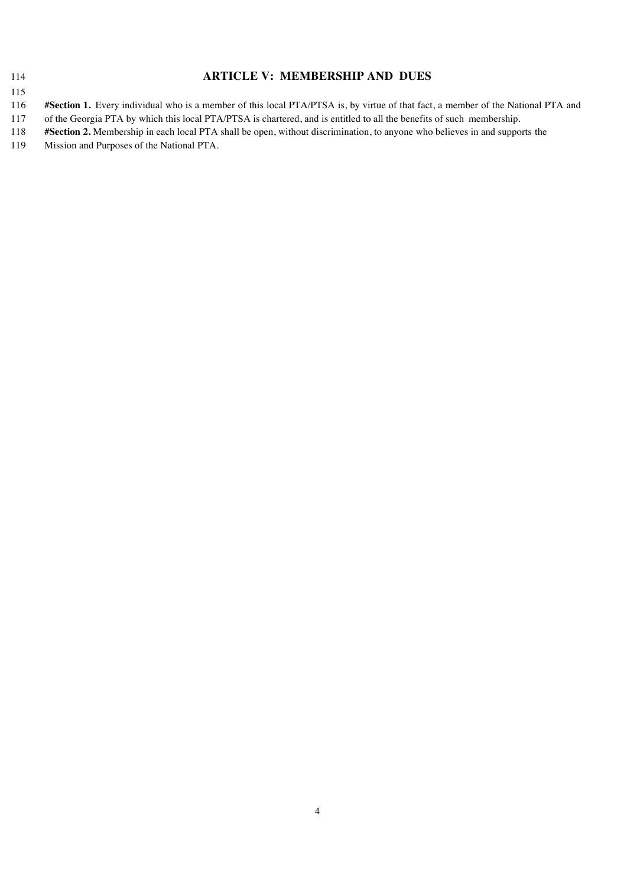#### **ARTICLE V: MEMBERSHIP AND DUES**

**#Section 1.** Every individual who is a member of this local PTA/PTSA is, by virtue of that fact, a member of the National PTA and

of the Georgia PTA by which this local PTA/PTSA is chartered, and is entitled to all the benefits of such membership.

- **#Section 2.** Membership in each local PTA shall be open, without discrimination, to anyone who believes in and supports the
- Mission and Purposes of the National PTA.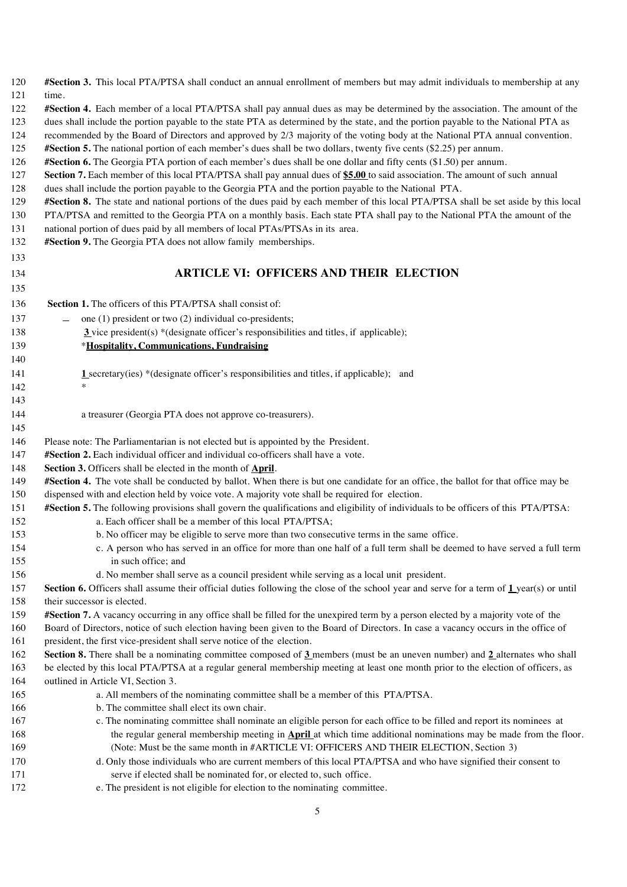| 120<br>121 | <b>#Section 3.</b> This local PTA/PTSA shall conduct an annual enrollment of members but may admit individuals to membership at any<br>time.             |
|------------|----------------------------------------------------------------------------------------------------------------------------------------------------------|
| 122        | #Section 4. Each member of a local PTA/PTSA shall pay annual dues as may be determined by the association. The amount of the                             |
| 123        | dues shall include the portion payable to the state PTA as determined by the state, and the portion payable to the National PTA as                       |
| 124        | recommended by the Board of Directors and approved by 2/3 majority of the voting body at the National PTA annual convention.                             |
| 125        | <b>#Section 5.</b> The national portion of each member's dues shall be two dollars, twenty five cents (\$2.25) per annum.                                |
| 126        | <b>#Section 6.</b> The Georgia PTA portion of each member's dues shall be one dollar and fifty cents (\$1.50) per annum.                                 |
| 127        | Section 7. Each member of this local PTA/PTSA shall pay annual dues of \$5.00 to said association. The amount of such annual                             |
| 128        | dues shall include the portion payable to the Georgia PTA and the portion payable to the National PTA.                                                   |
| 129        | #Section 8. The state and national portions of the dues paid by each member of this local PTA/PTSA shall be set aside by this local                      |
| 130        | PTA/PTSA and remitted to the Georgia PTA on a monthly basis. Each state PTA shall pay to the National PTA the amount of the                              |
| 131        | national portion of dues paid by all members of local PTAs/PTSAs in its area.                                                                            |
| 132        | #Section 9. The Georgia PTA does not allow family memberships.                                                                                           |
| 133        |                                                                                                                                                          |
| 134        | <b>ARTICLE VI: OFFICERS AND THEIR ELECTION</b>                                                                                                           |
| 135        |                                                                                                                                                          |
| 136        |                                                                                                                                                          |
|            | Section 1. The officers of this PTA/PTSA shall consist of:                                                                                               |
| 137        | one (1) president or two (2) individual co-presidents;                                                                                                   |
| 138        | $3$ vice president(s) *(designate officer's responsibilities and titles, if applicable);                                                                 |
| 139<br>140 | *Hospitality, Communications, Fundraising                                                                                                                |
|            | <b>1</b> secretary(ies) *(designate officer's responsibilities and titles, if applicable); and                                                           |
| 141<br>142 | $\ast$                                                                                                                                                   |
| 143        |                                                                                                                                                          |
| 144        | a treasurer (Georgia PTA does not approve co-treasurers).                                                                                                |
| 145        |                                                                                                                                                          |
| 146        | Please note: The Parliamentarian is not elected but is appointed by the President.                                                                       |
| 147        | #Section 2. Each individual officer and individual co-officers shall have a vote.                                                                        |
| 148        | Section 3. Officers shall be elected in the month of April.                                                                                              |
| 149        | #Section 4. The vote shall be conducted by ballot. When there is but one candidate for an office, the ballot for that office may be                      |
| 150        | dispensed with and election held by voice vote. A majority vote shall be required for election.                                                          |
| 151        | #Section 5. The following provisions shall govern the qualifications and eligibility of individuals to be officers of this PTA/PTSA:                     |
| 152        | a. Each officer shall be a member of this local PTA/PTSA;                                                                                                |
| 153        | b. No officer may be eligible to serve more than two consecutive terms in the same office.                                                               |
| 154        | c. A person who has served in an office for more than one half of a full term shall be deemed to have served a full term                                 |
| 155        | in such office; and                                                                                                                                      |
| 156        | d. No member shall serve as a council president while serving as a local unit president.                                                                 |
| 157        | <b>Section 6.</b> Officers shall assume their official duties following the close of the school year and serve for a term of <b>1</b> year(s) or until   |
| 158        | their successor is elected.                                                                                                                              |
| 159        | #Section 7. A vacancy occurring in any office shall be filled for the unexpired term by a person elected by a majority vote of the                       |
| 160        | Board of Directors, notice of such election having been given to the Board of Directors. In case a vacancy occurs in the office of                       |
| 161        | president, the first vice-president shall serve notice of the election.                                                                                  |
| 162        | Section 8. There shall be a nominating committee composed of $\underline{3}$ members (must be an uneven number) and $\underline{2}$ alternates who shall |
| 163        | be elected by this local PTA/PTSA at a regular general membership meeting at least one month prior to the election of officers, as                       |
| 164<br>165 | outlined in Article VI, Section 3.                                                                                                                       |
| 166        | a. All members of the nominating committee shall be a member of this PTA/PTSA.<br>b. The committee shall elect its own chair.                            |
| 167        | c. The nominating committee shall nominate an eligible person for each office to be filled and report its nominees at                                    |
| 168        | the regular general membership meeting in <b>April</b> at which time additional nominations may be made from the floor.                                  |
| 169        | (Note: Must be the same month in #ARTICLE VI: OFFICERS AND THEIR ELECTION, Section 3)                                                                    |
| 170        | d. Only those individuals who are current members of this local PTA/PTSA and who have signified their consent to                                         |
| 171        | serve if elected shall be nominated for, or elected to, such office.                                                                                     |
| 172        | e. The president is not eligible for election to the nominating committee.                                                                               |
|            |                                                                                                                                                          |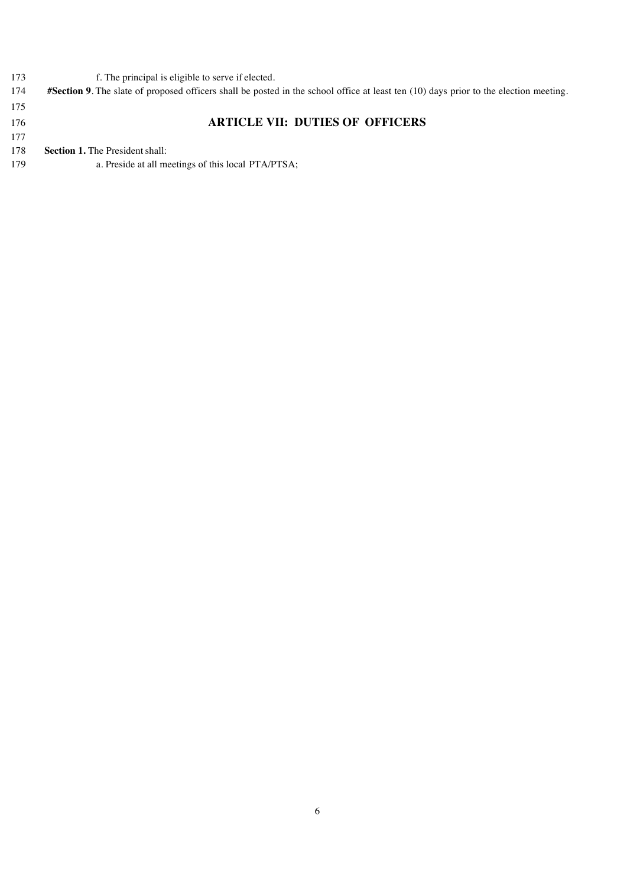- f. The principal is eligible to serve if elected.
- **#Section 9**. The slate of proposed officers shall be posted in the school office at least ten (10) days prior to the election meeting.
- 

#### **ARTICLE VII: DUTIES OF OFFICERS**

**Section 1.** The President shall:

a. Preside at all meetings of this local PTA/PTSA;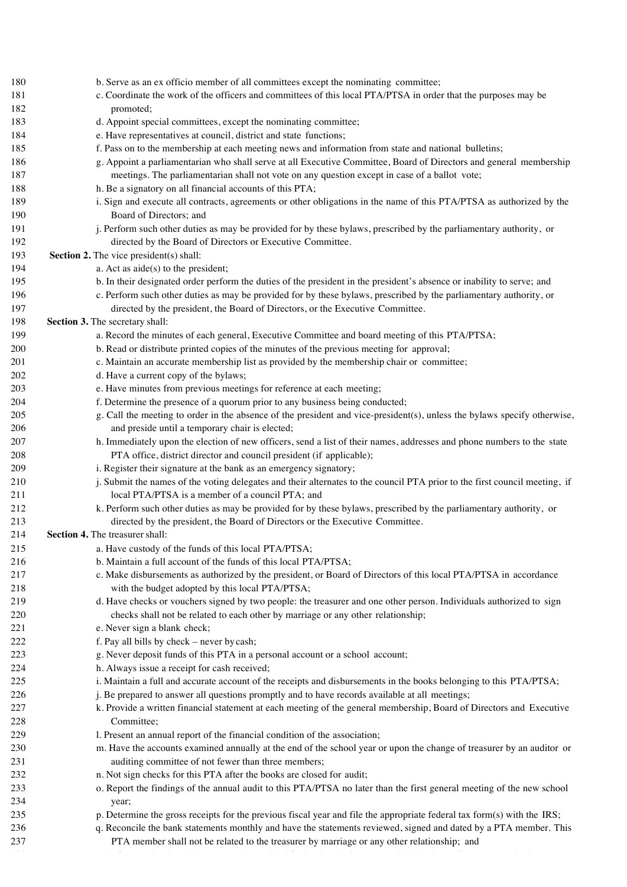| 180 | b. Serve as an ex officio member of all committees except the nominating committee;                                        |
|-----|----------------------------------------------------------------------------------------------------------------------------|
| 181 | c. Coordinate the work of the officers and committees of this local PTA/PTSA in order that the purposes may be             |
| 182 | promoted;                                                                                                                  |
| 183 | d. Appoint special committees, except the nominating committee;                                                            |
| 184 | e. Have representatives at council, district and state functions;                                                          |
| 185 | f. Pass on to the membership at each meeting news and information from state and national bulletins;                       |
| 186 | g. Appoint a parliamentarian who shall serve at all Executive Committee, Board of Directors and general membership         |
| 187 | meetings. The parliamentarian shall not vote on any question except in case of a ballot vote;                              |
| 188 | h. Be a signatory on all financial accounts of this PTA;                                                                   |
| 189 | i. Sign and execute all contracts, agreements or other obligations in the name of this PTA/PTSA as authorized by the       |
| 190 | Board of Directors; and                                                                                                    |
| 191 | j. Perform such other duties as may be provided for by these bylaws, prescribed by the parliamentary authority, or         |
| 192 | directed by the Board of Directors or Executive Committee.                                                                 |
| 193 | Section 2. The vice president(s) shall:                                                                                    |
| 194 | a. Act as aide(s) to the president;                                                                                        |
| 195 | b. In their designated order perform the duties of the president in the president's absence or inability to serve; and     |
| 196 | c. Perform such other duties as may be provided for by these bylaws, prescribed by the parliamentary authority, or         |
| 197 | directed by the president, the Board of Directors, or the Executive Committee.                                             |
| 198 | Section 3. The secretary shall:                                                                                            |
| 199 | a. Record the minutes of each general, Executive Committee and board meeting of this PTA/PTSA;                             |
| 200 | b. Read or distribute printed copies of the minutes of the previous meeting for approval;                                  |
| 201 | c. Maintain an accurate membership list as provided by the membership chair or committee;                                  |
| 202 | d. Have a current copy of the bylaws;                                                                                      |
| 203 | e. Have minutes from previous meetings for reference at each meeting;                                                      |
| 204 | f. Determine the presence of a quorum prior to any business being conducted;                                               |
| 205 | g. Call the meeting to order in the absence of the president and vice-president(s), unless the bylaws specify otherwise,   |
| 206 | and preside until a temporary chair is elected;                                                                            |
| 207 | h. Immediately upon the election of new officers, send a list of their names, addresses and phone numbers to the state     |
| 208 | PTA office, district director and council president (if applicable);                                                       |
| 209 | i. Register their signature at the bank as an emergency signatory;                                                         |
| 210 | j. Submit the names of the voting delegates and their alternates to the council PTA prior to the first council meeting, if |
| 211 | local PTA/PTSA is a member of a council PTA; and                                                                           |
| 212 | k. Perform such other duties as may be provided for by these bylaws, prescribed by the parliamentary authority, or         |
| 213 | directed by the president, the Board of Directors or the Executive Committee.                                              |
| 214 | Section 4. The treasurer shall:                                                                                            |
| 215 | a. Have custody of the funds of this local PTA/PTSA;                                                                       |
| 216 | b. Maintain a full account of the funds of this local PTA/PTSA;                                                            |
| 217 | c. Make disbursements as authorized by the president, or Board of Directors of this local PTA/PTSA in accordance           |
| 218 | with the budget adopted by this local PTA/PTSA;                                                                            |
| 219 | d. Have checks or vouchers signed by two people: the treasurer and one other person. Individuals authorized to sign        |
| 220 | checks shall not be related to each other by marriage or any other relationship;                                           |
| 221 | e. Never sign a blank check;                                                                                               |
| 222 | f. Pay all bills by check - never by cash;                                                                                 |
| 223 | g. Never deposit funds of this PTA in a personal account or a school account;                                              |
| 224 | h. Always issue a receipt for cash received;                                                                               |
| 225 | i. Maintain a full and accurate account of the receipts and disbursements in the books belonging to this PTA/PTSA;         |
| 226 | j. Be prepared to answer all questions promptly and to have records available at all meetings;                             |
| 227 | k. Provide a written financial statement at each meeting of the general membership, Board of Directors and Executive       |
| 228 | Committee;                                                                                                                 |
| 229 | 1. Present an annual report of the financial condition of the association;                                                 |
| 230 | m. Have the accounts examined annually at the end of the school year or upon the change of treasurer by an auditor or      |
| 231 | auditing committee of not fewer than three members;                                                                        |
| 232 | n. Not sign checks for this PTA after the books are closed for audit;                                                      |
| 233 | o. Report the findings of the annual audit to this PTA/PTSA no later than the first general meeting of the new school      |
| 234 | year;                                                                                                                      |
| 235 | p. Determine the gross receipts for the previous fiscal year and file the appropriate federal tax form(s) with the IRS;    |
| 236 | q. Reconcile the bank statements monthly and have the statements reviewed, signed and dated by a PTA member. This          |
| 237 | PTA member shall not be related to the treasurer by marriage or any other relationship; and                                |
|     |                                                                                                                            |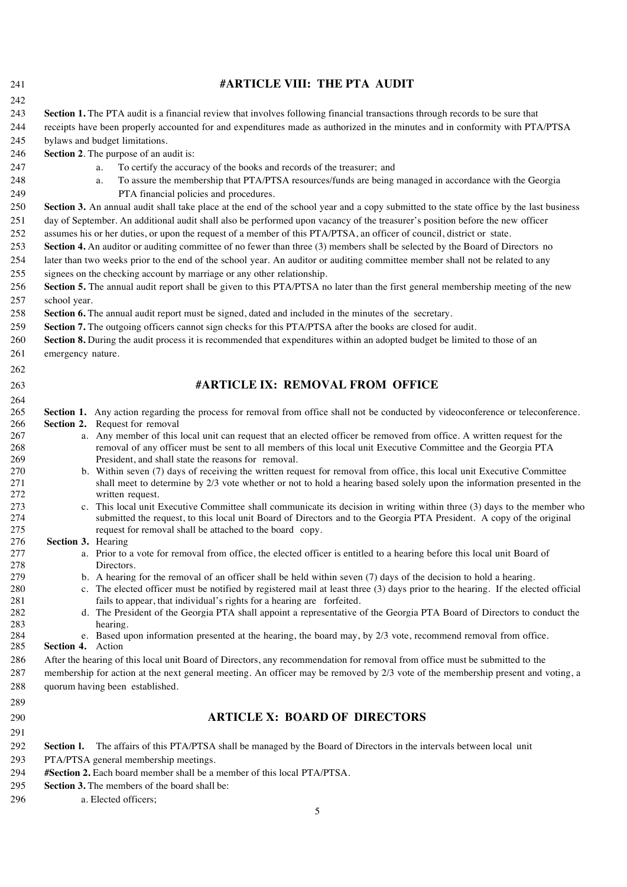| 241        | #ARTICLE VIII: THE PTA AUDIT                                                                                                                             |
|------------|----------------------------------------------------------------------------------------------------------------------------------------------------------|
| 242        |                                                                                                                                                          |
| 243        | Section 1. The PTA audit is a financial review that involves following financial transactions through records to be sure that                            |
| 244        | receipts have been properly accounted for and expenditures made as authorized in the minutes and in conformity with PTA/PTSA                             |
| 245        | bylaws and budget limitations.                                                                                                                           |
| 246        | Section 2. The purpose of an audit is:                                                                                                                   |
| 247        | To certify the accuracy of the books and records of the treasurer; and<br>a.                                                                             |
| 248        | To assure the membership that PTA/PTSA resources/funds are being managed in accordance with the Georgia<br>a.                                            |
| 249        | PTA financial policies and procedures.                                                                                                                   |
| 250        | Section 3. An annual audit shall take place at the end of the school year and a copy submitted to the state office by the last business                  |
| 251        | day of September. An additional audit shall also be performed upon vacancy of the treasurer's position before the new officer                            |
| 252        | assumes his or her duties, or upon the request of a member of this PTA/PTSA, an officer of council, district or state.                                   |
| 253        | Section 4. An auditor or auditing committee of no fewer than three (3) members shall be selected by the Board of Directors no                            |
| 254        | later than two weeks prior to the end of the school year. An auditor or auditing committee member shall not be related to any                            |
| 255        | signees on the checking account by marriage or any other relationship.                                                                                   |
| 256        | Section 5. The annual audit report shall be given to this PTA/PTSA no later than the first general membership meeting of the new                         |
| 257        | school year.                                                                                                                                             |
| 258        | Section 6. The annual audit report must be signed, dated and included in the minutes of the secretary.                                                   |
| 259        | Section 7. The outgoing officers cannot sign checks for this PTA/PTSA after the books are closed for audit.                                              |
| 260        | Section 8. During the audit process it is recommended that expenditures within an adopted budget be limited to those of an                               |
| 261        | emergency nature.                                                                                                                                        |
| 262        |                                                                                                                                                          |
|            |                                                                                                                                                          |
| 263        | #ARTICLE IX: REMOVAL FROM OFFICE                                                                                                                         |
| 264        |                                                                                                                                                          |
| 265        | Section 1. Any action regarding the process for removal from office shall not be conducted by videoconference or teleconference.                         |
| 266<br>267 | Section 2. Request for removal<br>a. Any member of this local unit can request that an elected officer be removed from office. A written request for the |
| 268        | removal of any officer must be sent to all members of this local unit Executive Committee and the Georgia PTA                                            |
| 269        | President, and shall state the reasons for removal.                                                                                                      |
| 270        | b. Within seven (7) days of receiving the written request for removal from office, this local unit Executive Committee                                   |
| 271        | shall meet to determine by 2/3 vote whether or not to hold a hearing based solely upon the information presented in the                                  |
| 272        | written request.                                                                                                                                         |
| 273        | c. This local unit Executive Committee shall communicate its decision in writing within three (3) days to the member who                                 |
| 274<br>275 | submitted the request, to this local unit Board of Directors and to the Georgia PTA President. A copy of the original                                    |
| 276        | request for removal shall be attached to the board copy.<br><b>Section 3. Hearing</b>                                                                    |
| 277        | a. Prior to a vote for removal from office, the elected officer is entitled to a hearing before this local unit Board of                                 |
| 278        | Directors.                                                                                                                                               |
| 279        | b. A hearing for the removal of an officer shall be held within seven $(7)$ days of the decision to hold a hearing.                                      |
| 280        | c. The elected officer must be notified by registered mail at least three (3) days prior to the hearing. If the elected official                         |
| 281        | fails to appear, that individual's rights for a hearing are forfeited.                                                                                   |
| 282        | d. The President of the Georgia PTA shall appoint a representative of the Georgia PTA Board of Directors to conduct the                                  |
| 283<br>284 | hearing.<br>e. Based upon information presented at the hearing, the board may, by 2/3 vote, recommend removal from office.                               |
| 285        | Section 4. Action                                                                                                                                        |
| 286        | After the hearing of this local unit Board of Directors, any recommendation for removal from office must be submitted to the                             |
| 287        | membership for action at the next general meeting. An officer may be removed by 2/3 vote of the membership present and voting, a                         |
| 288        | quorum having been established.                                                                                                                          |
| 289        |                                                                                                                                                          |
|            | <b>ARTICLE X: BOARD OF DIRECTORS</b>                                                                                                                     |
| 290        |                                                                                                                                                          |
| 291        |                                                                                                                                                          |
| 292        | The affairs of this PTA/PTSA shall be managed by the Board of Directors in the intervals between local unit<br>Section 1.                                |
| 293        | PTA/PTSA general membership meetings.                                                                                                                    |
| 294        | #Section 2. Each board member shall be a member of this local PTA/PTSA.                                                                                  |
| 295        | Section 3. The members of the board shall be:                                                                                                            |
| 296        | a. Elected officers;<br>5                                                                                                                                |
|            |                                                                                                                                                          |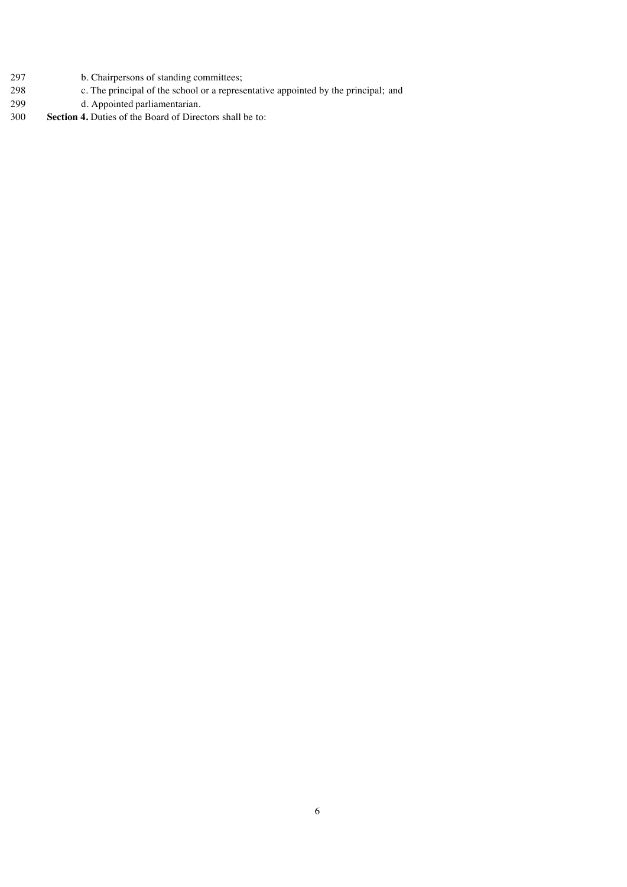- 297 b. Chairpersons of standing committees;<br>298 c. The principal of the school or a represe
- c. The principal of the school or a representative appointed by the principal; and
- 299 d. Appointed parliamentarian.<br>300 Section 4. Duties of the Board of Direct
- Section 4. Duties of the Board of Directors shall be to: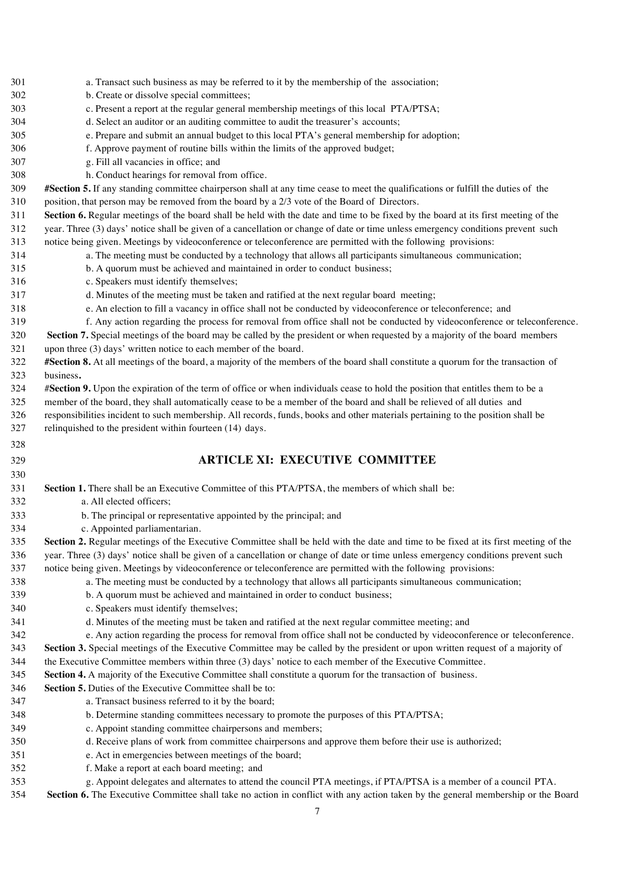a. Transact such business as may be referred to it by the membership of the association; b. Create or dissolve special committees; c. Present a report at the regular general membership meetings of this local PTA/PTSA; d. Select an auditor or an auditing committee to audit the treasurer's accounts; e. Prepare and submit an annual budget to this local PTA's general membership for adoption; f. Approve payment of routine bills within the limits of the approved budget; g. Fill all vacancies in office; and h. Conduct hearings for removal from office. **#Section 5.** If any standing committee chairperson shall at any time cease to meet the qualifications or fulfill the duties of the position, that person may be removed from the board by a 2/3 vote of the Board of Directors. **Section 6.** Regular meetings of the board shall be held with the date and time to be fixed by the board at its first meeting of the year. Three (3) days' notice shall be given of a cancellation or change of date or time unless emergency conditions prevent such notice being given. Meetings by videoconference or teleconference are permitted with the following provisions: a. The meeting must be conducted by a technology that allows all participants simultaneous communication; b. A quorum must be achieved and maintained in order to conduct business; c. Speakers must identify themselves; d. Minutes of the meeting must be taken and ratified at the next regular board meeting; e. An election to fill a vacancy in office shall not be conducted by videoconference or teleconference; and f. Any action regarding the process for removal from office shall not be conducted by videoconference or teleconference. **Section 7.** Special meetings of the board may be called by the president or when requested by a majority of the board members upon three (3) days' written notice to each member of the board. **#Section 8.** At all meetings of the board, a majority of the members of the board shall constitute a quorum for the transaction of business**.** #**Section 9.** Upon the expiration of the term of office or when individuals cease to hold the position that entitles them to be a member of the board, they shall automatically cease to be a member of the board and shall be relieved of all duties and responsibilities incident to such membership. All records, funds, books and other materials pertaining to the position shall be relinquished to the president within fourteen (14) days. **ARTICLE XI: EXECUTIVE COMMITTEE Section 1.** There shall be an Executive Committee of this PTA/PTSA, the members of which shall be: a. All elected officers; b. The principal or representative appointed by the principal; and c. Appointed parliamentarian. **Section 2.** Regular meetings of the Executive Committee shall be held with the date and time to be fixed at its first meeting of the year. Three (3) days' notice shall be given of a cancellation or change of date or time unless emergency conditions prevent such notice being given. Meetings by videoconference or teleconference are permitted with the following provisions: a. The meeting must be conducted by a technology that allows all participants simultaneous communication; b. A quorum must be achieved and maintained in order to conduct business; c. Speakers must identify themselves; d. Minutes of the meeting must be taken and ratified at the next regular committee meeting; and e. Any action regarding the process for removal from office shall not be conducted by videoconference or teleconference. **Section 3.** Special meetings of the Executive Committee may be called by the president or upon written request of a majority of the Executive Committee members within three (3) days' notice to each member of the Executive Committee. **Section 4.** A majority of the Executive Committee shall constitute a quorum for the transaction of business. **Section 5.** Duties of the Executive Committee shall be to: a. Transact business referred to it by the board; b. Determine standing committees necessary to promote the purposes of this PTA/PTSA; c. Appoint standing committee chairpersons and members; d. Receive plans of work from committee chairpersons and approve them before their use is authorized; e. Act in emergencies between meetings of the board; f. Make a report at each board meeting; and g. Appoint delegates and alternates to attend the council PTA meetings, if PTA/PTSA is a member of a council PTA. **Section 6.** The Executive Committee shall take no action in conflict with any action taken by the general membership or the Board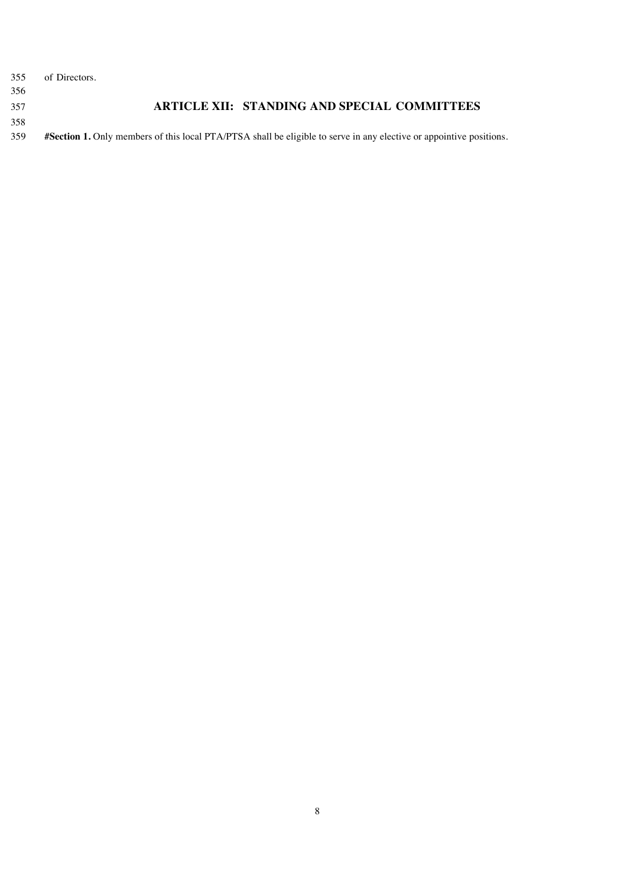- of Directors.
- 

### **ARTICLE XII: STANDING AND SPECIAL COMMITTEES**

**#Section 1.** Only members of this local PTA/PTSA shall be eligible to serve in any elective or appointive positions.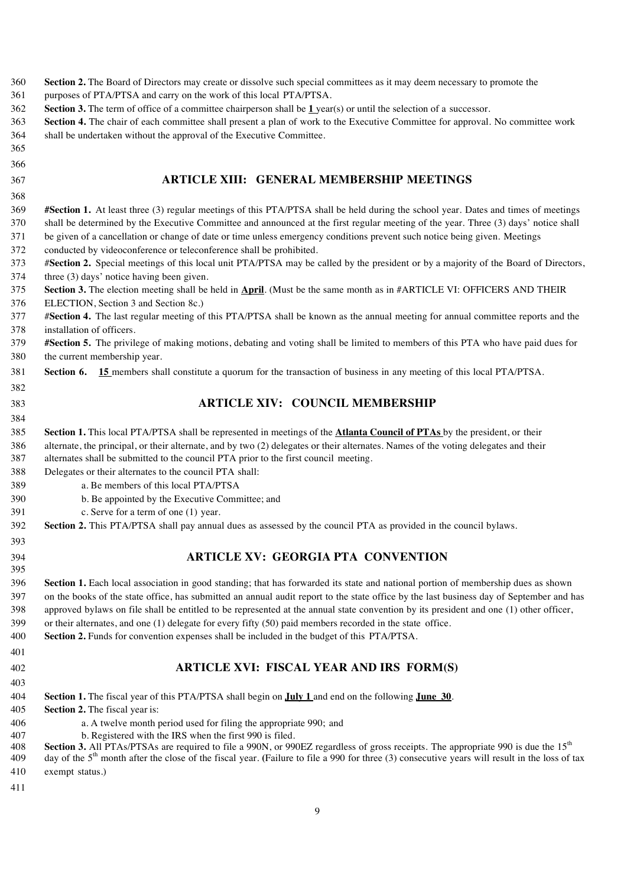| Section 3. The term of office of a committee chairperson shall be $1$ year(s) or until the selection of a successor.<br>362<br>Section 4. The chair of each committee shall present a plan of work to the Executive Committee for approval. No committee work<br>363<br>364<br>shall be undertaken without the approval of the Executive Committee.<br>365<br>366 |  |
|-------------------------------------------------------------------------------------------------------------------------------------------------------------------------------------------------------------------------------------------------------------------------------------------------------------------------------------------------------------------|--|
|                                                                                                                                                                                                                                                                                                                                                                   |  |
|                                                                                                                                                                                                                                                                                                                                                                   |  |
|                                                                                                                                                                                                                                                                                                                                                                   |  |
|                                                                                                                                                                                                                                                                                                                                                                   |  |
| <b>ARTICLE XIII: GENERAL MEMBERSHIP MEETINGS</b><br>367                                                                                                                                                                                                                                                                                                           |  |
| 368                                                                                                                                                                                                                                                                                                                                                               |  |
| 369<br>#Section 1. At least three (3) regular meetings of this PTA/PTSA shall be held during the school year. Dates and times of meetings                                                                                                                                                                                                                         |  |
| shall be determined by the Executive Committee and announced at the first regular meeting of the year. Three (3) days' notice shall<br>370                                                                                                                                                                                                                        |  |
| 371<br>be given of a cancellation or change of date or time unless emergency conditions prevent such notice being given. Meetings                                                                                                                                                                                                                                 |  |
| conducted by videoconference or teleconference shall be prohibited.<br>372                                                                                                                                                                                                                                                                                        |  |
| 373<br>#Section 2. Special meetings of this local unit PTA/PTSA may be called by the president or by a majority of the Board of Directors,                                                                                                                                                                                                                        |  |
| 374<br>three (3) days' notice having been given.                                                                                                                                                                                                                                                                                                                  |  |
| 375<br>Section 3. The election meeting shall be held in April. (Must be the same month as in #ARTICLE VI: OFFICERS AND THEIR                                                                                                                                                                                                                                      |  |
| 376<br>ELECTION, Section 3 and Section 8c.)                                                                                                                                                                                                                                                                                                                       |  |
| 377<br>#Section 4. The last regular meeting of this PTA/PTSA shall be known as the annual meeting for annual committee reports and the                                                                                                                                                                                                                            |  |
| 378<br>installation of officers.                                                                                                                                                                                                                                                                                                                                  |  |
| 379<br><b>#Section 5.</b> The privilege of making motions, debating and voting shall be limited to members of this PTA who have paid dues for                                                                                                                                                                                                                     |  |
| 380<br>the current membership year.                                                                                                                                                                                                                                                                                                                               |  |
| 381<br>Section 6. 15 members shall constitute a quorum for the transaction of business in any meeting of this local PTA/PTSA.                                                                                                                                                                                                                                     |  |
| 382                                                                                                                                                                                                                                                                                                                                                               |  |
| <b>ARTICLE XIV: COUNCIL MEMBERSHIP</b><br>383                                                                                                                                                                                                                                                                                                                     |  |
| 384                                                                                                                                                                                                                                                                                                                                                               |  |
| 385<br>Section 1. This local PTA/PTSA shall be represented in meetings of the <b>Atlanta Council of PTAs</b> by the president, or their                                                                                                                                                                                                                           |  |
| alternate, the principal, or their alternate, and by two (2) delegates or their alternates. Names of the voting delegates and their<br>386                                                                                                                                                                                                                        |  |
| 387<br>alternates shall be submitted to the council PTA prior to the first council meeting.                                                                                                                                                                                                                                                                       |  |
| 388<br>Delegates or their alternates to the council PTA shall:                                                                                                                                                                                                                                                                                                    |  |
| 389<br>a. Be members of this local PTA/PTSA                                                                                                                                                                                                                                                                                                                       |  |
| 390<br>b. Be appointed by the Executive Committee; and                                                                                                                                                                                                                                                                                                            |  |
| 391<br>c. Serve for a term of one (1) year.                                                                                                                                                                                                                                                                                                                       |  |
| 392<br>Section 2. This PTA/PTSA shall pay annual dues as assessed by the council PTA as provided in the council bylaws.                                                                                                                                                                                                                                           |  |
| 393                                                                                                                                                                                                                                                                                                                                                               |  |
| <b>ARTICLE XV: GEORGIA PTA CONVENTION</b><br>394                                                                                                                                                                                                                                                                                                                  |  |
| 395                                                                                                                                                                                                                                                                                                                                                               |  |
| 396<br>Section 1. Each local association in good standing; that has forwarded its state and national portion of membership dues as shown                                                                                                                                                                                                                          |  |
| 397<br>on the books of the state office, has submitted an annual audit report to the state office by the last business day of September and has                                                                                                                                                                                                                   |  |
| 398<br>approved bylaws on file shall be entitled to be represented at the annual state convention by its president and one (1) other officer,                                                                                                                                                                                                                     |  |
| 399<br>or their alternates, and one (1) delegate for every fifty (50) paid members recorded in the state office.<br>Section 2. Funds for convention expenses shall be included in the budget of this PTA/PTSA.                                                                                                                                                    |  |
| 400                                                                                                                                                                                                                                                                                                                                                               |  |
| 401                                                                                                                                                                                                                                                                                                                                                               |  |
| ARTICLE XVI: FISCAL YEAR AND IRS FORM(S)<br>402                                                                                                                                                                                                                                                                                                                   |  |
| 403                                                                                                                                                                                                                                                                                                                                                               |  |
| 404<br>Section 1. The fiscal year of this PTA/PTSA shall begin on <b>July 1</b> and end on the following <b>June 30</b> .                                                                                                                                                                                                                                         |  |
| 405<br>Section 2. The fiscal year is:                                                                                                                                                                                                                                                                                                                             |  |
| 406<br>a. A twelve month period used for filing the appropriate 990; and                                                                                                                                                                                                                                                                                          |  |
|                                                                                                                                                                                                                                                                                                                                                                   |  |
| b. Registered with the IRS when the first 990 is filed.<br>407<br>408                                                                                                                                                                                                                                                                                             |  |
| Section 3. All PTAs/PTSAs are required to file a 990N, or 990EZ regardless of gross receipts. The appropriate 990 is due the 15 <sup>th</sup><br>day of the $5th$ month after the close of the fiscal year. (Failure to file a 990 for three (3) consecutive years will result in the loss of tax<br>409                                                          |  |
| 410<br>exempt status.)                                                                                                                                                                                                                                                                                                                                            |  |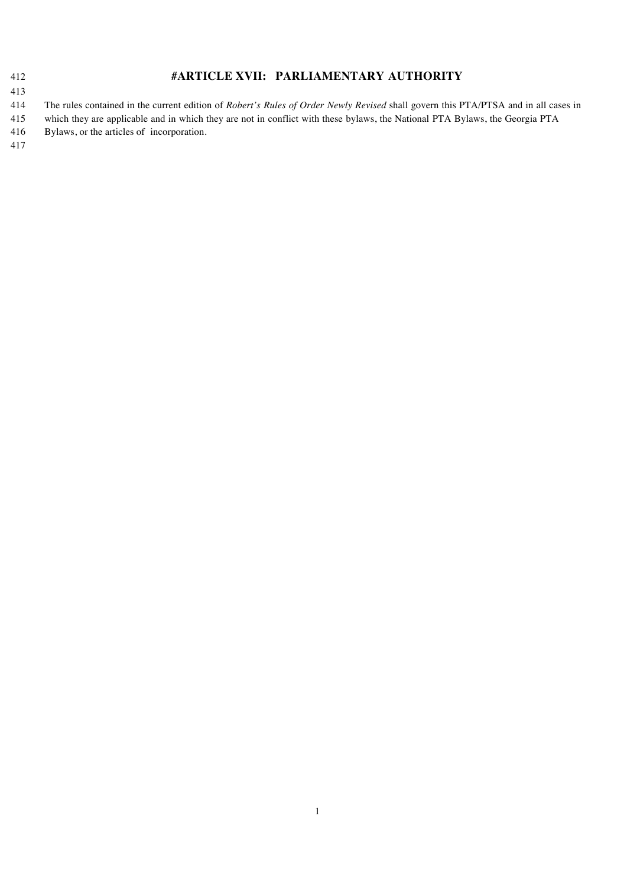| 412 | #ARTICLE XVII: PARLIAMENTARY AUTHORITY                                                                                                    |
|-----|-------------------------------------------------------------------------------------------------------------------------------------------|
| 413 |                                                                                                                                           |
| 414 | The rules contained in the current edition of <i>Robert's Rules of Order Newly Revised</i> shall govern this PTA/PTSA and in all cases in |
| 415 | which they are applicable and in which they are not in conflict with these bylaws, the National PTA Bylaws, the Georgia PTA               |
| 416 | Bylaws, or the articles of incorporation.                                                                                                 |